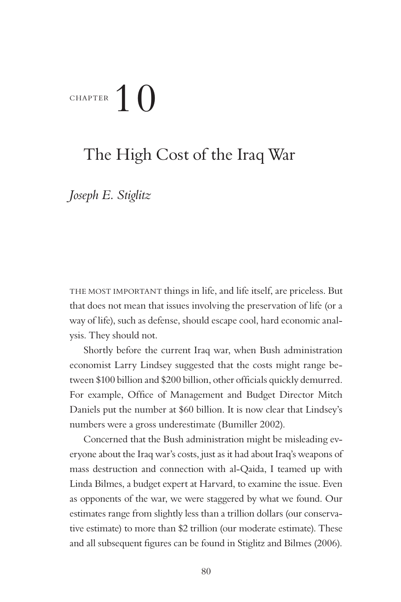# CHAPTER 10

## The High Cost of the Iraq War

*Joseph E. Stiglitz*

THE MOST IMPORTANT things in life, and life itself, are priceless. But that does not mean that issues involving the preservation of life (or a way of life), such as defense, should escape cool, hard economic analysis. They should not.

Shortly before the current Iraq war, when Bush administration economist Larry Lindsey suggested that the costs might range between \$100 billion and \$200 billion, other officials quickly demurred. For example, Office of Management and Budget Director Mitch Daniels put the number at \$60 billion. It is now clear that Lindsey's numbers were a gross underestimate (Bumiller 2002).

Concerned that the Bush administration might be misleading everyone about the Iraq war's costs, just as it had about Iraq's weapons of mass destruction and connection with al-Qaida, I teamed up with Linda Bilmes, a budget expert at Harvard, to examine the issue. Even as opponents of the war, we were staggered by what we found. Our estimates range from slightly less than a trillion dollars (our conservative estimate) to more than \$2 trillion (our moderate estimate). These and all subsequent figures can be found in Stiglitz and Bilmes (2006).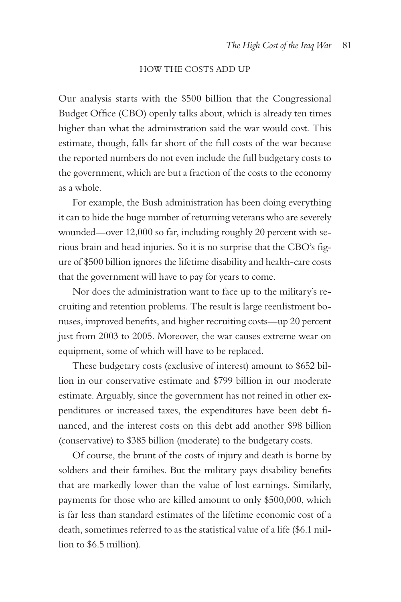## HOW THE COSTS ADD UP

Our analysis starts with the \$500 billion that the Congressional Budget Office (CBO) openly talks about, which is already ten times higher than what the administration said the war would cost. This estimate, though, falls far short of the full costs of the war because the reported numbers do not even include the full budgetary costs to the government, which are but a fraction of the costs to the economy as a whole.

For example, the Bush administration has been doing everything it can to hide the huge number of returning veterans who are severely wounded—over 12,000 so far, including roughly 20 percent with serious brain and head injuries. So it is no surprise that the CBO's figure of \$500 billion ignores the lifetime disability and health- care costs that the government will have to pay for years to come.

Nor does the administration want to face up to the military's recruiting and retention problems. The result is large reenlistment bonuses, improved benefits, and higher recruiting costs—up 20 percent just from 2003 to 2005. Moreover, the war causes extreme wear on equipment, some of which will have to be replaced.

These budgetary costs (exclusive of interest) amount to \$652 billion in our conservative estimate and \$799 billion in our moderate estimate. Arguably, since the government has not reined in other expenditures or increased taxes, the expenditures have been debt financed, and the interest costs on this debt add another \$98 billion (conservative) to \$385 billion (moderate) to the budgetary costs.

Of course, the brunt of the costs of injury and death is borne by soldiers and their families. But the military pays disability benefits that are markedly lower than the value of lost earnings. Similarly, payments for those who are killed amount to only \$500,000, which is far less than standard estimates of the lifetime economic cost of a death, sometimes referred to as the statistical value of a life (\$6.1 million to \$6.5 million).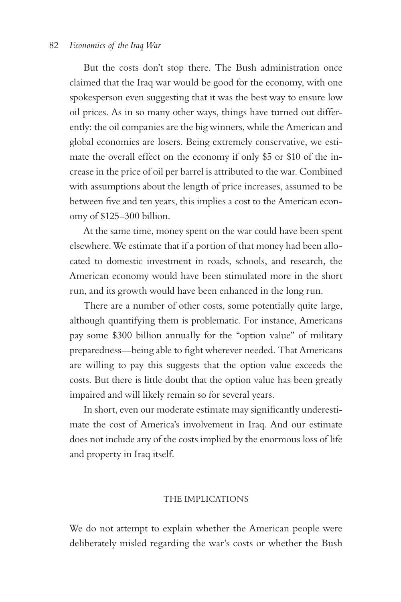#### 82 *Economics of the Iraq War*

But the costs don't stop there. The Bush administration once claimed that the Iraq war would be good for the economy, with one spokesperson even suggesting that it was the best way to ensure low oil prices. As in so many other ways, things have turned out differently: the oil companies are the big winners, while the American and global economies are losers. Being extremely conservative, we estimate the overall effect on the economy if only \$5 or \$10 of the increase in the price of oil per barrel is attributed to the war. Combined with assumptions about the length of price increases, assumed to be between five and ten years, this implies a cost to the American economy of \$125–300 billion.

At the same time, money spent on the war could have been spent elsewhere. We estimate that if a portion of that money had been allocated to domestic investment in roads, schools, and research, the American economy would have been stimulated more in the short run, and its growth would have been enhanced in the long run.

There are a number of other costs, some potentially quite large, although quantifying them is problematic. For instance, Americans pay some \$300 billion annually for the "option value" of military preparedness—being able to fight wherever needed. That Americans are willing to pay this suggests that the option value exceeds the costs. But there is little doubt that the option value has been greatly impaired and will likely remain so for several years.

In short, even our moderate estimate may significantly underestimate the cost of America's involvement in Iraq. And our estimate does not include any of the costs implied by the enormous loss of life and property in Iraq itself.

## THE IMPLICATIONS

We do not attempt to explain whether the American people were deliberately misled regarding the war's costs or whether the Bush